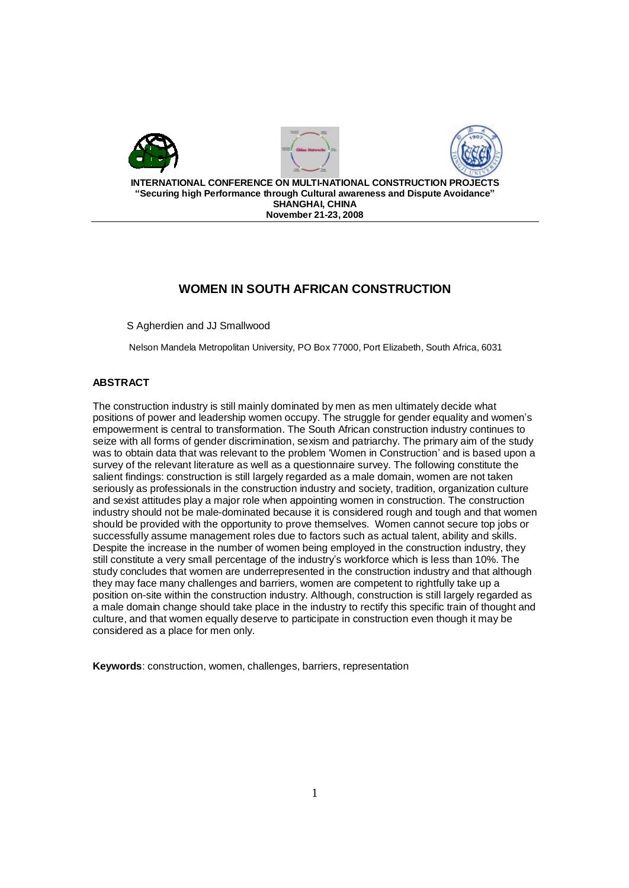

# **WOMEN IN SOUTH AFRICAN CONSTRUCTION**

S Agherdien and JJ Smallwood

Nelson Mandela Metropolitan University, PO Box 77000, Port Elizabeth, South Africa, 6031

# **ABSTRACT**

The construction industry is still mainly dominated by men as men ultimately decide what positions of power and leadership women occupy. The struggle for gender equality and women's empowerment is central to transformation. The South African construction industry continues to seize with all forms of gender discrimination, sexism and patriarchy. The primary aim of the study was to obtain data that was relevant to the problem 'Women in Construction' and is based upon a survey of the relevant literature as well as a questionnaire survey. The following constitute the salient findings: construction is still largely regarded as a male domain, women are not taken seriously as professionals in the construction industry and society, tradition, organization culture and sexist attitudes play a major role when appointing women in construction. The construction industry should not be male-dominated because it is considered rough and tough and that women should be provided with the opportunity to prove themselves. Women cannot secure top jobs or successfully assume management roles due to factors such as actual talent, ability and skills. Despite the increase in the number of women being employed in the construction industry, they still constitute a very small percentage of the industry's workforce which is less than 10%. The study concludes that women are underrepresented in the construction industry and that although they may face many challenges and barriers, women are competent to rightfully take up a position on-site within the construction industry. Although, construction is still largely regarded as a male domain change should take place in the industry to rectify this specific train of thought and culture, and that women equally deserve to participate in construction even though it may be considered as a place for men only.

**Keywords**: construction, women, challenges, barriers, representation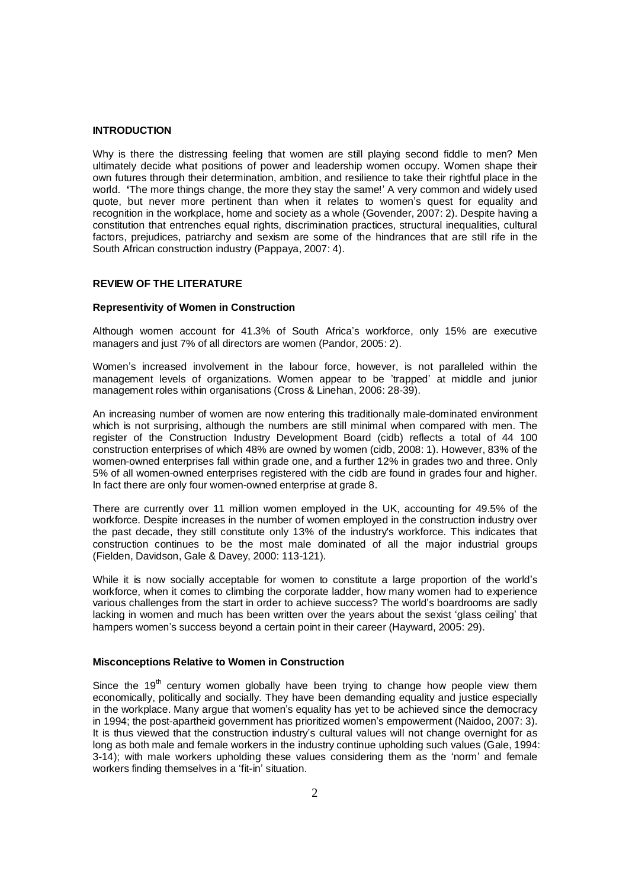#### **INTRODUCTION**

Why is there the distressing feeling that women are still playing second fiddle to men? Men ultimately decide what positions of power and leadership women occupy. Women shape their own futures through their determination, ambition, and resilience to take their rightful place in the world. **'**The more things change, the more they stay the same!' A very common and widely used quote, but never more pertinent than when it relates to women's quest for equality and recognition in the workplace, home and society as a whole (Govender, 2007: 2). Despite having a constitution that entrenches equal rights, discrimination practices, structural inequalities, cultural factors, prejudices, patriarchy and sexism are some of the hindrances that are still rife in the South African construction industry (Pappaya, 2007: 4).

# **REVIEW OF THE LITERATURE**

#### **Representivity of Women in Construction**

Although women account for 41.3% of South Africa's workforce, only 15% are executive managers and just 7% of all directors are women (Pandor, 2005: 2).

Women's increased involvement in the labour force, however, is not paralleled within the management levels of organizations. Women appear to be 'trapped' at middle and junior management roles within organisations (Cross & Linehan, 2006: 28-39).

An increasing number of women are now entering this traditionally male-dominated environment which is not surprising, although the numbers are still minimal when compared with men. The register of the Construction Industry Development Board (cidb) reflects a total of 44 100 construction enterprises of which 48% are owned by women (cidb, 2008: 1). However, 83% of the women-owned enterprises fall within grade one, and a further 12% in grades two and three. Only 5% of all women-owned enterprises registered with the cidb are found in grades four and higher. In fact there are only four women-owned enterprise at grade 8.

There are currently over 11 million women employed in the UK, accounting for 49.5% of the workforce. Despite increases in the number of women employed in the construction industry over the past decade, they still constitute only 13% of the industry's workforce. This indicates that construction continues to be the most male dominated of all the major industrial groups (Fielden, Davidson, Gale & Davey, 2000: 113-121).

While it is now socially acceptable for women to constitute a large proportion of the world's workforce, when it comes to climbing the corporate ladder, how many women had to experience various challenges from the start in order to achieve success? The world's boardrooms are sadly lacking in women and much has been written over the years about the sexist 'glass ceiling' that hampers women's success beyond a certain point in their career (Hayward, 2005: 29).

### **Misconceptions Relative to Women in Construction**

Since the  $19<sup>th</sup>$  century women globally have been trying to change how people view them economically, politically and socially. They have been demanding equality and justice especially in the workplace. Many argue that women's equality has yet to be achieved since the democracy in 1994; the post-apartheid government has prioritized women's empowerment (Naidoo, 2007: 3). It is thus viewed that the construction industry's cultural values will not change overnight for as long as both male and female workers in the industry continue upholding such values (Gale, 1994: 3-14); with male workers upholding these values considering them as the 'norm' and female workers finding themselves in a 'fit-in' situation.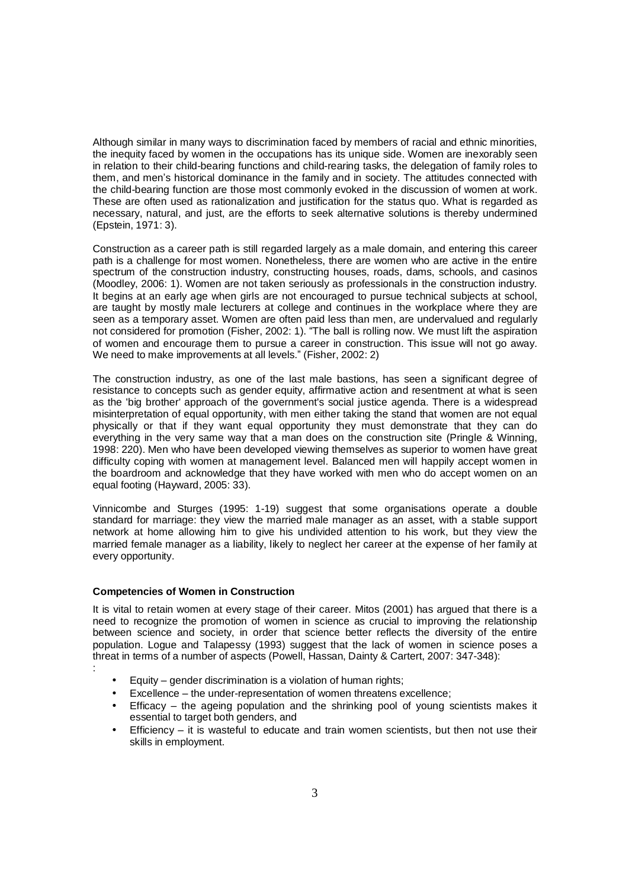Although similar in many ways to discrimination faced by members of racial and ethnic minorities, the inequity faced by women in the occupations has its unique side. Women are inexorably seen in relation to their child-bearing functions and child-rearing tasks, the delegation of family roles to them, and men's historical dominance in the family and in society. The attitudes connected with the child-bearing function are those most commonly evoked in the discussion of women at work. These are often used as rationalization and justification for the status quo. What is regarded as necessary, natural, and just, are the efforts to seek alternative solutions is thereby undermined (Epstein, 1971: 3).

Construction as a career path is still regarded largely as a male domain, and entering this career path is a challenge for most women. Nonetheless, there are women who are active in the entire spectrum of the construction industry, constructing houses, roads, dams, schools, and casinos (Moodley, 2006: 1). Women are not taken seriously as professionals in the construction industry. It begins at an early age when girls are not encouraged to pursue technical subjects at school, are taught by mostly male lecturers at college and continues in the workplace where they are seen as a temporary asset. Women are often paid less than men, are undervalued and regularly not considered for promotion (Fisher, 2002: 1). "The ball is rolling now. We must lift the aspiration of women and encourage them to pursue a career in construction. This issue will not go away. We need to make improvements at all levels." (Fisher, 2002: 2)

The construction industry, as one of the last male bastions, has seen a significant degree of resistance to concepts such as gender equity, affirmative action and resentment at what is seen as the 'big brother' approach of the government's social justice agenda. There is a widespread misinterpretation of equal opportunity, with men either taking the stand that women are not equal physically or that if they want equal opportunity they must demonstrate that they can do everything in the very same way that a man does on the construction site (Pringle & Winning, 1998: 220). Men who have been developed viewing themselves as superior to women have great difficulty coping with women at management level. Balanced men will happily accept women in the boardroom and acknowledge that they have worked with men who do accept women on an equal footing (Hayward, 2005: 33).

Vinnicombe and Sturges (1995: 1-19) suggest that some organisations operate a double standard for marriage: they view the married male manager as an asset, with a stable support network at home allowing him to give his undivided attention to his work, but they view the married female manager as a liability, likely to neglect her career at the expense of her family at every opportunity.

# **Competencies of Women in Construction**

:

It is vital to retain women at every stage of their career. Mitos (2001) has argued that there is a need to recognize the promotion of women in science as crucial to improving the relationship between science and society, in order that science better reflects the diversity of the entire population. Logue and Talapessy (1993) suggest that the lack of women in science poses a threat in terms of a number of aspects (Powell, Hassan, Dainty & Cartert, 2007: 347-348):

- Equity gender discrimination is a violation of human rights;
- Excellence the under-representation of women threatens excellence;
- Efficacy the ageing population and the shrinking pool of young scientists makes it essential to target both genders, and
- Efficiency it is wasteful to educate and train women scientists, but then not use their skills in employment.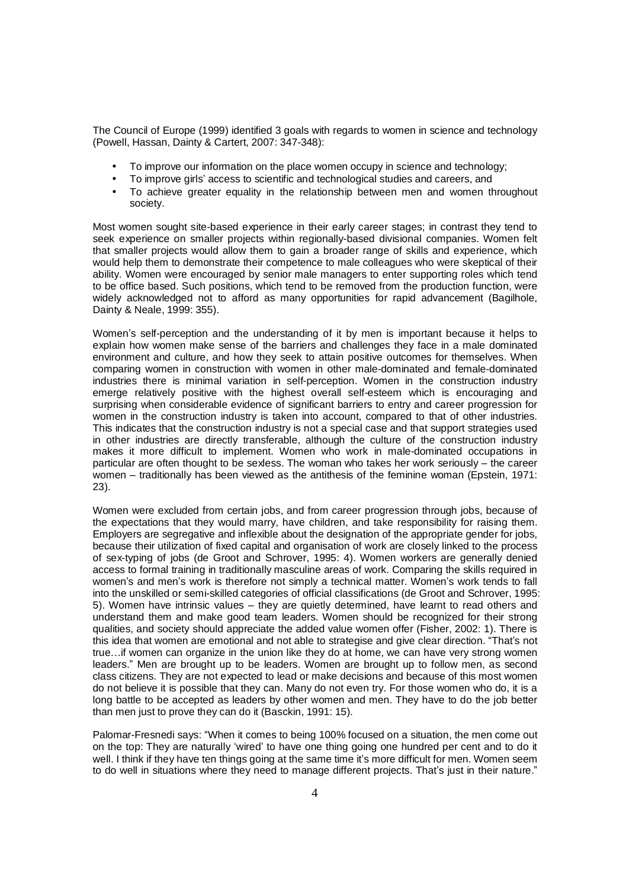The Council of Europe (1999) identified 3 goals with regards to women in science and technology (Powell, Hassan, Dainty & Cartert, 2007: 347-348):

- To improve our information on the place women occupy in science and technology;
- To improve girls' access to scientific and technological studies and careers, and
- To achieve greater equality in the relationship between men and women throughout society.

Most women sought site-based experience in their early career stages; in contrast they tend to seek experience on smaller projects within regionally-based divisional companies. Women felt that smaller projects would allow them to gain a broader range of skills and experience, which would help them to demonstrate their competence to male colleagues who were skeptical of their ability. Women were encouraged by senior male managers to enter supporting roles which tend to be office based. Such positions, which tend to be removed from the production function, were widely acknowledged not to afford as many opportunities for rapid advancement (Bagilhole, Dainty & Neale, 1999: 355).

Women's self-perception and the understanding of it by men is important because it helps to explain how women make sense of the barriers and challenges they face in a male dominated environment and culture, and how they seek to attain positive outcomes for themselves. When comparing women in construction with women in other male-dominated and female-dominated industries there is minimal variation in self-perception. Women in the construction industry emerge relatively positive with the highest overall self-esteem which is encouraging and surprising when considerable evidence of significant barriers to entry and career progression for women in the construction industry is taken into account, compared to that of other industries. This indicates that the construction industry is not a special case and that support strategies used in other industries are directly transferable, although the culture of the construction industry makes it more difficult to implement. Women who work in male-dominated occupations in particular are often thought to be sexless. The woman who takes her work seriously – the career women – traditionally has been viewed as the antithesis of the feminine woman (Epstein, 1971: 23).

Women were excluded from certain jobs, and from career progression through jobs, because of the expectations that they would marry, have children, and take responsibility for raising them. Employers are segregative and inflexible about the designation of the appropriate gender for jobs, because their utilization of fixed capital and organisation of work are closely linked to the process of sex-typing of jobs (de Groot and Schrover, 1995: 4). Women workers are generally denied access to formal training in traditionally masculine areas of work. Comparing the skills required in women's and men's work is therefore not simply a technical matter. Women's work tends to fall into the unskilled or semi-skilled categories of official classifications (de Groot and Schrover, 1995: 5). Women have intrinsic values – they are quietly determined, have learnt to read others and understand them and make good team leaders. Women should be recognized for their strong qualities, and society should appreciate the added value women offer (Fisher, 2002: 1). There is this idea that women are emotional and not able to strategise and give clear direction. "That's not true…if women can organize in the union like they do at home, we can have very strong women leaders." Men are brought up to be leaders. Women are brought up to follow men, as second class citizens. They are not expected to lead or make decisions and because of this most women do not believe it is possible that they can. Many do not even try. For those women who do, it is a long battle to be accepted as leaders by other women and men. They have to do the job better than men just to prove they can do it (Basckin, 1991: 15).

Palomar-Fresnedi says: "When it comes to being 100% focused on a situation, the men come out on the top: They are naturally 'wired' to have one thing going one hundred per cent and to do it well. I think if they have ten things going at the same time it's more difficult for men. Women seem to do well in situations where they need to manage different projects. That's just in their nature."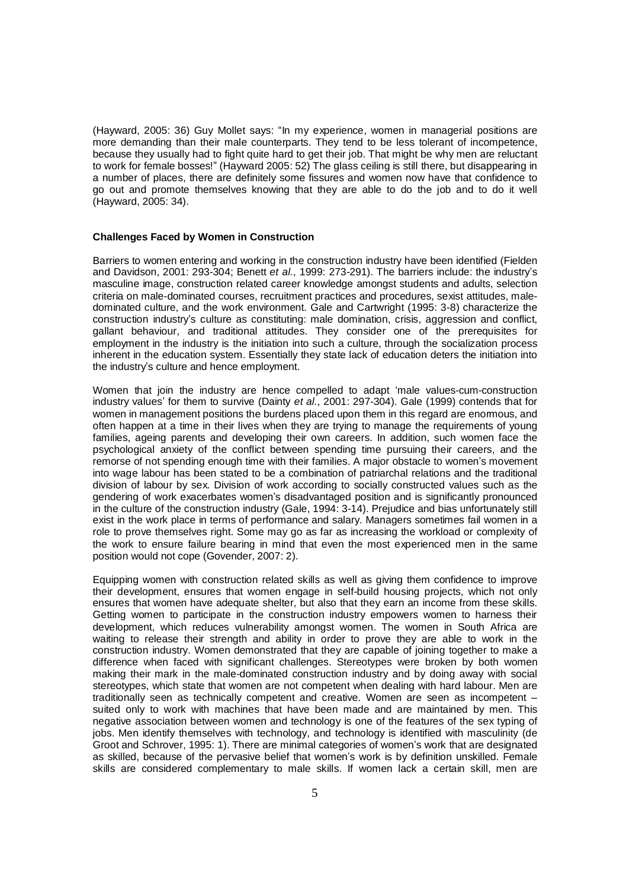(Hayward, 2005: 36) Guy Mollet says: "In my experience, women in managerial positions are more demanding than their male counterparts. They tend to be less tolerant of incompetence, because they usually had to fight quite hard to get their job. That might be why men are reluctant to work for female bosses!" (Hayward 2005: 52) The glass ceiling is still there, but disappearing in a number of places, there are definitely some fissures and women now have that confidence to go out and promote themselves knowing that they are able to do the job and to do it well (Hayward, 2005: 34).

#### **Challenges Faced by Women in Construction**

Barriers to women entering and working in the construction industry have been identified (Fielden and Davidson, 2001: 293-304; Benett *et al.*, 1999: 273-291). The barriers include: the industry's masculine image, construction related career knowledge amongst students and adults, selection criteria on male-dominated courses, recruitment practices and procedures, sexist attitudes, maledominated culture, and the work environment. Gale and Cartwright (1995: 3-8) characterize the construction industry's culture as constituting: male domination, crisis, aggression and conflict, gallant behaviour, and traditional attitudes. They consider one of the prerequisites for employment in the industry is the initiation into such a culture, through the socialization process inherent in the education system. Essentially they state lack of education deters the initiation into the industry's culture and hence employment.

Women that join the industry are hence compelled to adapt 'male values-cum-construction industry values' for them to survive (Dainty *et al.*, 2001: 297-304). Gale (1999) contends that for women in management positions the burdens placed upon them in this regard are enormous, and often happen at a time in their lives when they are trying to manage the requirements of young families, ageing parents and developing their own careers. In addition, such women face the psychological anxiety of the conflict between spending time pursuing their careers, and the remorse of not spending enough time with their families. A major obstacle to women's movement into wage labour has been stated to be a combination of patriarchal relations and the traditional division of labour by sex. Division of work according to socially constructed values such as the gendering of work exacerbates women's disadvantaged position and is significantly pronounced in the culture of the construction industry (Gale, 1994: 3-14). Prejudice and bias unfortunately still exist in the work place in terms of performance and salary. Managers sometimes fail women in a role to prove themselves right. Some may go as far as increasing the workload or complexity of the work to ensure failure bearing in mind that even the most experienced men in the same position would not cope (Govender, 2007: 2).

Equipping women with construction related skills as well as giving them confidence to improve their development, ensures that women engage in self-build housing projects, which not only ensures that women have adequate shelter, but also that they earn an income from these skills. Getting women to participate in the construction industry empowers women to harness their development, which reduces vulnerability amongst women. The women in South Africa are waiting to release their strength and ability in order to prove they are able to work in the construction industry. Women demonstrated that they are capable of joining together to make a difference when faced with significant challenges. Stereotypes were broken by both women making their mark in the male-dominated construction industry and by doing away with social stereotypes, which state that women are not competent when dealing with hard labour. Men are traditionally seen as technically competent and creative. Women are seen as incompetent – suited only to work with machines that have been made and are maintained by men. This negative association between women and technology is one of the features of the sex typing of jobs. Men identify themselves with technology, and technology is identified with masculinity (de Groot and Schrover, 1995: 1). There are minimal categories of women's work that are designated as skilled, because of the pervasive belief that women's work is by definition unskilled. Female skills are considered complementary to male skills. If women lack a certain skill, men are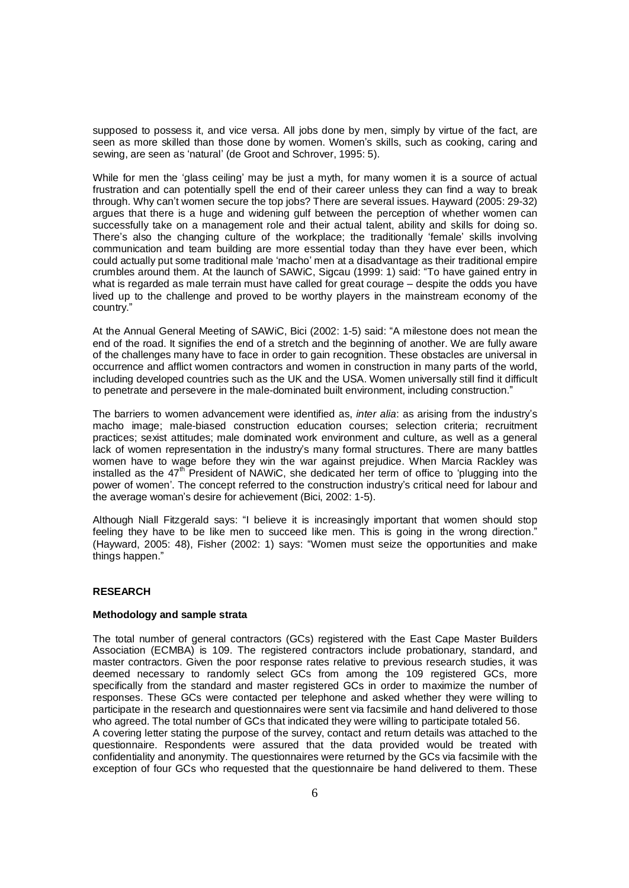supposed to possess it, and vice versa. All jobs done by men, simply by virtue of the fact, are seen as more skilled than those done by women. Women's skills, such as cooking, caring and sewing, are seen as 'natural' (de Groot and Schrover, 1995: 5).

While for men the 'glass ceiling' may be just a myth, for many women it is a source of actual frustration and can potentially spell the end of their career unless they can find a way to break through. Why can't women secure the top jobs? There are several issues. Hayward (2005: 29-32) argues that there is a huge and widening gulf between the perception of whether women can successfully take on a management role and their actual talent, ability and skills for doing so. There's also the changing culture of the workplace; the traditionally 'female' skills involving communication and team building are more essential today than they have ever been, which could actually put some traditional male 'macho' men at a disadvantage as their traditional empire crumbles around them. At the launch of SAWiC, Sigcau (1999: 1) said: "To have gained entry in what is regarded as male terrain must have called for great courage – despite the odds you have lived up to the challenge and proved to be worthy players in the mainstream economy of the country."

At the Annual General Meeting of SAWiC, Bici (2002: 1-5) said: "A milestone does not mean the end of the road. It signifies the end of a stretch and the beginning of another. We are fully aware of the challenges many have to face in order to gain recognition. These obstacles are universal in occurrence and afflict women contractors and women in construction in many parts of the world, including developed countries such as the UK and the USA. Women universally still find it difficult to penetrate and persevere in the male-dominated built environment, including construction."

The barriers to women advancement were identified as, *inter alia*: as arising from the industry's macho image; male-biased construction education courses; selection criteria; recruitment practices; sexist attitudes; male dominated work environment and culture, as well as a general lack of women representation in the industry's many formal structures. There are many battles women have to wage before they win the war against prejudice. When Marcia Rackley was installed as the  $47<sup>th</sup>$  President of NAWiC, she dedicated her term of office to 'plugging into the power of women'. The concept referred to the construction industry's critical need for labour and the average woman's desire for achievement (Bici, 2002: 1-5).

Although Niall Fitzgerald says: "I believe it is increasingly important that women should stop feeling they have to be like men to succeed like men. This is going in the wrong direction." (Hayward, 2005: 48), Fisher (2002: 1) says: "Women must seize the opportunities and make things happen."

# **RESEARCH**

#### **Methodology and sample strata**

The total number of general contractors (GCs) registered with the East Cape Master Builders Association (ECMBA) is 109. The registered contractors include probationary, standard, and master contractors. Given the poor response rates relative to previous research studies, it was deemed necessary to randomly select GCs from among the 109 registered GCs, more specifically from the standard and master registered GCs in order to maximize the number of responses. These GCs were contacted per telephone and asked whether they were willing to participate in the research and questionnaires were sent via facsimile and hand delivered to those who agreed. The total number of GCs that indicated they were willing to participate totaled 56. A covering letter stating the purpose of the survey, contact and return details was attached to the questionnaire. Respondents were assured that the data provided would be treated with confidentiality and anonymity. The questionnaires were returned by the GCs via facsimile with the

exception of four GCs who requested that the questionnaire be hand delivered to them. These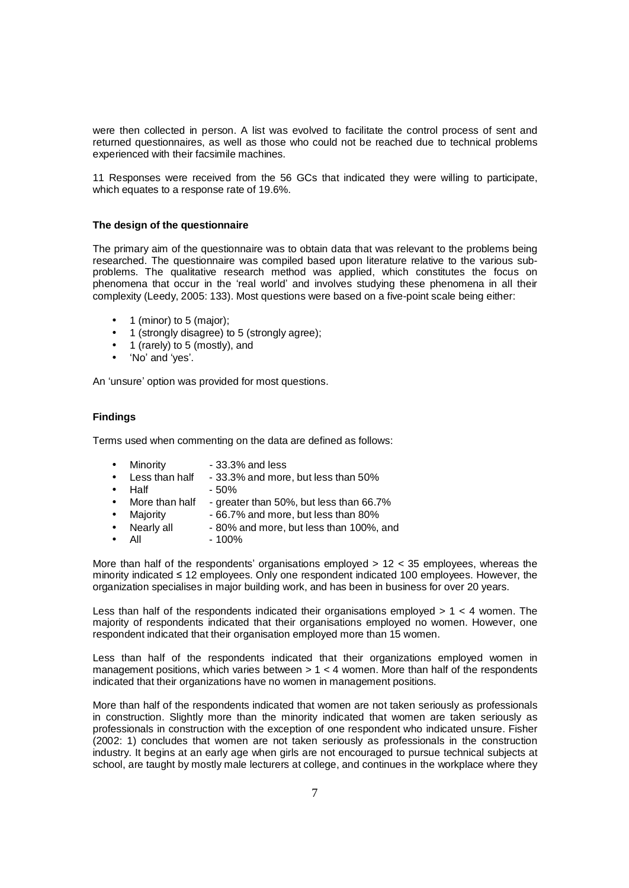were then collected in person. A list was evolved to facilitate the control process of sent and returned questionnaires, as well as those who could not be reached due to technical problems experienced with their facsimile machines.

11 Responses were received from the 56 GCs that indicated they were willing to participate, which equates to a response rate of 19.6%.

### **The design of the questionnaire**

The primary aim of the questionnaire was to obtain data that was relevant to the problems being researched. The questionnaire was compiled based upon literature relative to the various subproblems. The qualitative research method was applied, which constitutes the focus on phenomena that occur in the 'real world' and involves studying these phenomena in all their complexity (Leedy, 2005: 133). Most questions were based on a five-point scale being either:

- 1 (minor) to 5 (major);
- 1 (strongly disagree) to 5 (strongly agree);
- 1 (rarely) to 5 (mostly), and
- 'No' and 'yes'.

An 'unsure' option was provided for most questions.

# **Findings**

Terms used when commenting on the data are defined as follows:

- Minority 33.3% and less
- Less than half  $-33.3\%$  and more, but less than  $50\%$
- Half 50%
- More than half greater than 50%, but less than 66.7%
- Majority 66.7% and more, but less than 80%
- Nearly all 80% and more, but less than 100%, and
- All  $100\%$

More than half of the respondents' organisations employed > 12 < 35 employees, whereas the minority indicated ≤ 12 employees. Only one respondent indicated 100 employees. However, the organization specialises in major building work, and has been in business for over 20 years.

Less than half of the respondents indicated their organisations employed  $> 1 < 4$  women. The majority of respondents indicated that their organisations employed no women. However, one respondent indicated that their organisation employed more than 15 women.

Less than half of the respondents indicated that their organizations employed women in management positions, which varies between  $> 1 < 4$  women. More than half of the respondents indicated that their organizations have no women in management positions.

More than half of the respondents indicated that women are not taken seriously as professionals in construction. Slightly more than the minority indicated that women are taken seriously as professionals in construction with the exception of one respondent who indicated unsure. Fisher (2002: 1) concludes that women are not taken seriously as professionals in the construction industry. It begins at an early age when girls are not encouraged to pursue technical subjects at school, are taught by mostly male lecturers at college, and continues in the workplace where they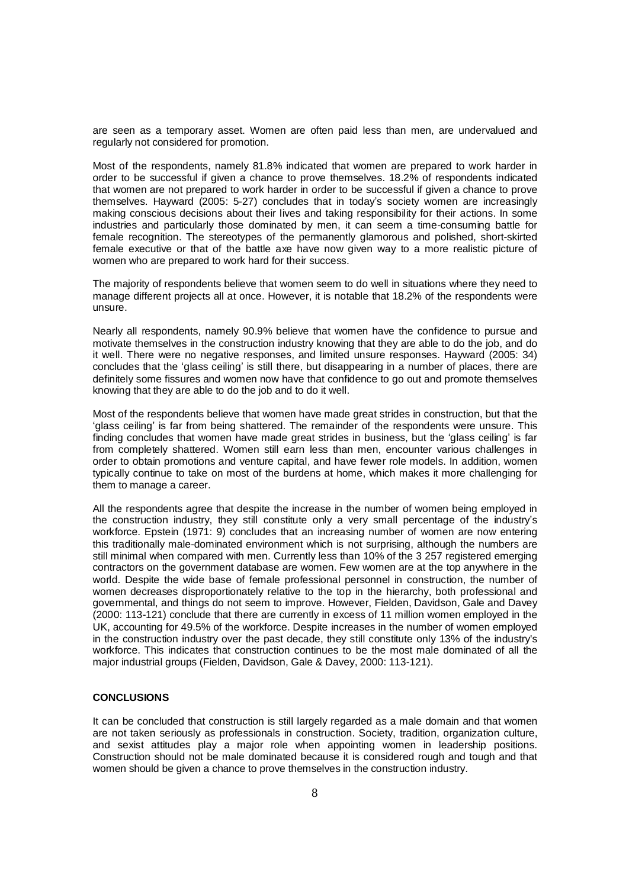are seen as a temporary asset. Women are often paid less than men, are undervalued and regularly not considered for promotion.

Most of the respondents, namely 81.8% indicated that women are prepared to work harder in order to be successful if given a chance to prove themselves. 18.2% of respondents indicated that women are not prepared to work harder in order to be successful if given a chance to prove themselves. Hayward (2005: 5-27) concludes that in today's society women are increasingly making conscious decisions about their lives and taking responsibility for their actions. In some industries and particularly those dominated by men, it can seem a time-consuming battle for female recognition. The stereotypes of the permanently glamorous and polished, short-skirted female executive or that of the battle axe have now given way to a more realistic picture of women who are prepared to work hard for their success.

The majority of respondents believe that women seem to do well in situations where they need to manage different projects all at once. However, it is notable that 18.2% of the respondents were unsure.

Nearly all respondents, namely 90.9% believe that women have the confidence to pursue and motivate themselves in the construction industry knowing that they are able to do the job, and do it well. There were no negative responses, and limited unsure responses. Hayward (2005: 34) concludes that the 'glass ceiling' is still there, but disappearing in a number of places, there are definitely some fissures and women now have that confidence to go out and promote themselves knowing that they are able to do the job and to do it well.

Most of the respondents believe that women have made great strides in construction, but that the 'glass ceiling' is far from being shattered. The remainder of the respondents were unsure. This finding concludes that women have made great strides in business, but the 'glass ceiling' is far from completely shattered. Women still earn less than men, encounter various challenges in order to obtain promotions and venture capital, and have fewer role models. In addition, women typically continue to take on most of the burdens at home, which makes it more challenging for them to manage a career.

All the respondents agree that despite the increase in the number of women being employed in the construction industry, they still constitute only a very small percentage of the industry's workforce. Epstein (1971: 9) concludes that an increasing number of women are now entering this traditionally male-dominated environment which is not surprising, although the numbers are still minimal when compared with men. Currently less than 10% of the 3 257 registered emerging contractors on the government database are women. Few women are at the top anywhere in the world. Despite the wide base of female professional personnel in construction, the number of women decreases disproportionately relative to the top in the hierarchy, both professional and governmental, and things do not seem to improve. However, Fielden, Davidson, Gale and Davey (2000: 113-121) conclude that there are currently in excess of 11 million women employed in the UK, accounting for 49.5% of the workforce. Despite increases in the number of women employed in the construction industry over the past decade, they still constitute only 13% of the industry's workforce. This indicates that construction continues to be the most male dominated of all the major industrial groups (Fielden, Davidson, Gale & Davey, 2000: 113-121).

#### **CONCLUSIONS**

It can be concluded that construction is still largely regarded as a male domain and that women are not taken seriously as professionals in construction. Society, tradition, organization culture, and sexist attitudes play a major role when appointing women in leadership positions. Construction should not be male dominated because it is considered rough and tough and that women should be given a chance to prove themselves in the construction industry.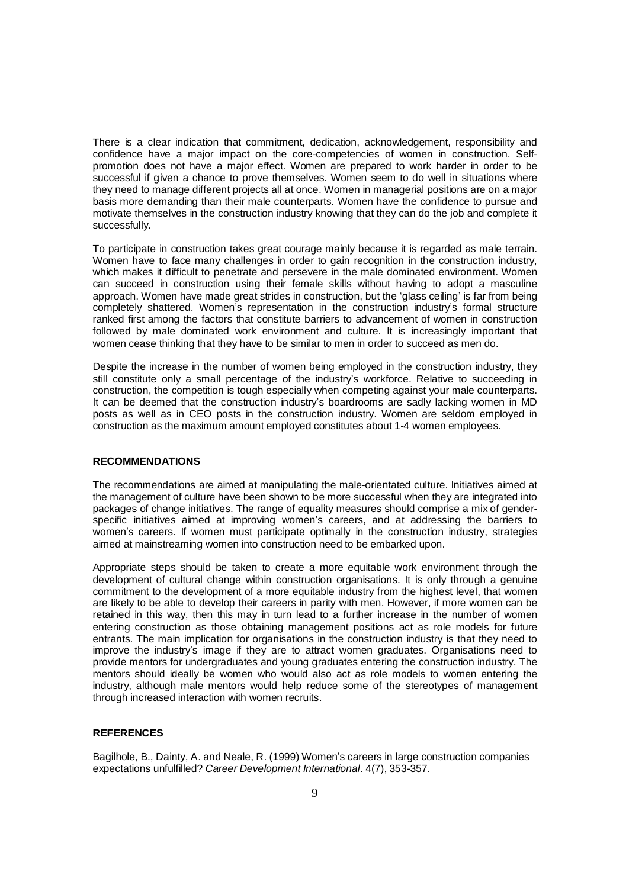There is a clear indication that commitment, dedication, acknowledgement, responsibility and confidence have a major impact on the core-competencies of women in construction. Selfpromotion does not have a major effect. Women are prepared to work harder in order to be successful if given a chance to prove themselves. Women seem to do well in situations where they need to manage different projects all at once. Women in managerial positions are on a major basis more demanding than their male counterparts. Women have the confidence to pursue and motivate themselves in the construction industry knowing that they can do the job and complete it successfully.

To participate in construction takes great courage mainly because it is regarded as male terrain. Women have to face many challenges in order to gain recognition in the construction industry, which makes it difficult to penetrate and persevere in the male dominated environment. Women can succeed in construction using their female skills without having to adopt a masculine approach. Women have made great strides in construction, but the 'glass ceiling' is far from being completely shattered. Women's representation in the construction industry's formal structure ranked first among the factors that constitute barriers to advancement of women in construction followed by male dominated work environment and culture. It is increasingly important that women cease thinking that they have to be similar to men in order to succeed as men do.

Despite the increase in the number of women being employed in the construction industry, they still constitute only a small percentage of the industry's workforce. Relative to succeeding in construction, the competition is tough especially when competing against your male counterparts. It can be deemed that the construction industry's boardrooms are sadly lacking women in MD posts as well as in CEO posts in the construction industry. Women are seldom employed in construction as the maximum amount employed constitutes about 1-4 women employees.

#### **RECOMMENDATIONS**

The recommendations are aimed at manipulating the male-orientated culture. Initiatives aimed at the management of culture have been shown to be more successful when they are integrated into packages of change initiatives. The range of equality measures should comprise a mix of genderspecific initiatives aimed at improving women's careers, and at addressing the barriers to women's careers. If women must participate optimally in the construction industry, strategies aimed at mainstreaming women into construction need to be embarked upon.

Appropriate steps should be taken to create a more equitable work environment through the development of cultural change within construction organisations. It is only through a genuine commitment to the development of a more equitable industry from the highest level, that women are likely to be able to develop their careers in parity with men. However, if more women can be retained in this way, then this may in turn lead to a further increase in the number of women entering construction as those obtaining management positions act as role models for future entrants. The main implication for organisations in the construction industry is that they need to improve the industry's image if they are to attract women graduates. Organisations need to provide mentors for undergraduates and young graduates entering the construction industry. The mentors should ideally be women who would also act as role models to women entering the industry, although male mentors would help reduce some of the stereotypes of management through increased interaction with women recruits.

### **REFERENCES**

Bagilhole, B., Dainty, A. and Neale, R. (1999) Women's careers in large construction companies expectations unfulfilled? *Career Development International*. 4(7), 353-357.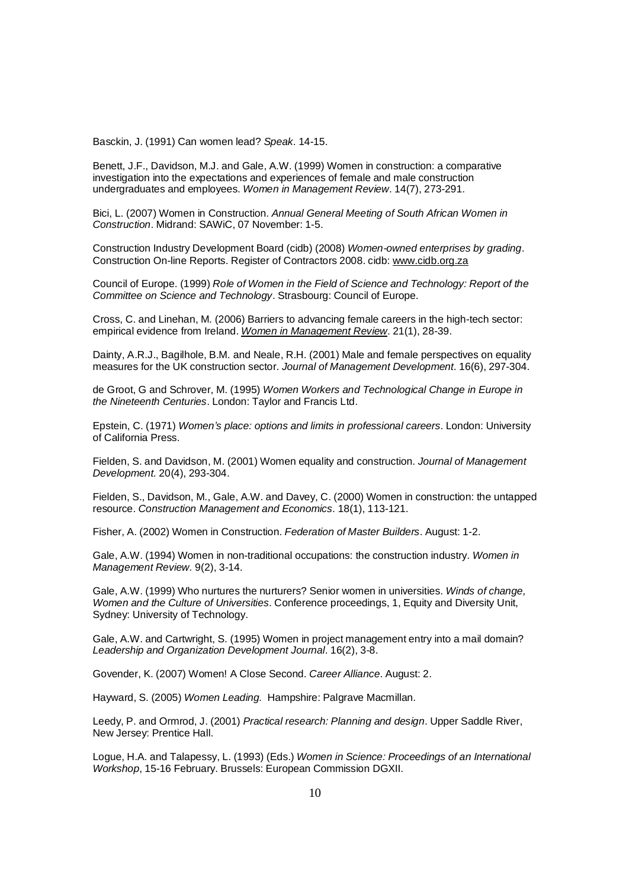Basckin, J. (1991) Can women lead? *Speak*. 14-15.

Benett, J.F., Davidson, M.J. and Gale, A.W. (1999) Women in construction: a comparative investigation into the expectations and experiences of female and male construction undergraduates and employees. *Women in Management Review*. 14(7), 273-291.

Bici, L. (2007) Women in Construction. *Annual General Meeting of South African Women in Construction*. Midrand: SAWiC, 07 November: 1-5.

Construction Industry Development Board (cidb) (2008) *Women-owned enterprises by grading*. Construction On-line Reports. Register of Contractors 2008. cidb: [www.cidb.org.za](http://www.cidb.org.za)

Council of Europe. (1999) *Role of Women in the Field of Science and Technology: Report of the Committee on Science and Technology*. Strasbourg: Council of Europe.

Cross, C. and Linehan, M. (2006) Barriers to advancing female careers in the high-tech sector: empirical evidence from Ireland. *Women in Management Review*. 21(1), 28-39.

Dainty, A.R.J., Bagilhole, B.M. and Neale, R.H. (2001) Male and female perspectives on equality measures for the UK construction sector. *Journal of Management Development*. 16(6), 297-304.

de Groot, G and Schrover, M. (1995) *Women Workers and Technological Change in Europe in the Nineteenth Centuries*. London: Taylor and Francis Ltd.

Epstein, C. (1971) *Women's place: options and limits in professional careers*. London: University of California Press.

Fielden, S. and Davidson, M. (2001) Women equality and construction. *Journal of Management Development*. 20(4), 293-304.

Fielden, S., Davidson, M., Gale, A.W. and Davey, C. (2000) Women in construction: the untapped resource. *Construction Management and Economics*. 18(1), 113-121.

Fisher, A. (2002) Women in Construction. *Federation of Master Builders*. August: 1-2.

Gale, A.W. (1994) Women in non-traditional occupations: the construction industry. *Women in Management Review.* 9(2), 3-14.

Gale, A.W. (1999) Who nurtures the nurturers? Senior women in universities. *Winds of change, Women and the Culture of Universities*. Conference proceedings, 1, Equity and Diversity Unit, Sydney: University of Technology.

Gale, A.W. and Cartwright, S. (1995) Women in project management entry into a mail domain? *Leadership and Organization Development Journal*. 16(2), 3-8.

Govender, K. (2007) Women! A Close Second. *Career Alliance*. August: 2.

Hayward, S. (2005) *Women Leading.* Hampshire: Palgrave Macmillan.

Leedy, P. and Ormrod, J. (2001) *Practical research: Planning and design*. Upper Saddle River, New Jersey: Prentice Hall.

Logue, H.A. and Talapessy, L. (1993) (Eds.) *Women in Science: Proceedings of an International Workshop*, 15-16 February. Brussels: European Commission DGXII.